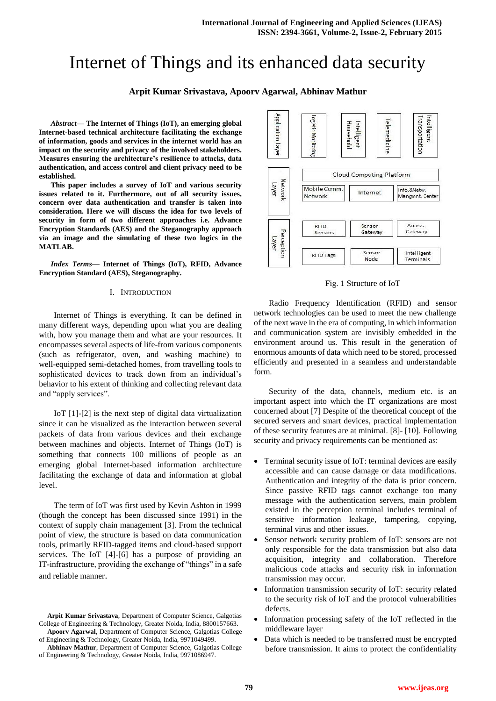# Internet of Things and its enhanced data security

# **Arpit Kumar Srivastava, Apoorv Agarwal, Abhinav Mathur**

*Abstract***— The Internet of Things (IoT), an emerging global Internet-based technical architecture facilitating the exchange of information, goods and services in the internet world has an impact on the security and privacy of the involved stakeholders. Measures ensuring the architecture's resilience to attacks, data authentication, and access control and client privacy need to be established.**

**This paper includes a survey of IoT and various security issues related to it. Furthermore, out of all security issues, concern over data authentication and transfer is taken into consideration. Here we will discuss the idea for two levels of security in form of two different approaches i.e. Advance Encryption Standards (AES) and the Steganography approach via an image and the simulating of these two logics in the MATLAB.** 

*Index Terms***— Internet of Things (IoT), RFID, Advance Encryption Standard (AES), Steganography.**

## I. INTRODUCTION

Internet of Things is everything. It can be defined in many different ways, depending upon what you are dealing with, how you manage them and what are your resources. It encompasses several aspects of life-from various components (such as refrigerator, oven, and washing machine) to well-equipped semi-detached homes, from travelling tools to sophisticated devices to track down from an individual's behavior to his extent of thinking and collecting relevant data and "apply services".

IoT [1]-[2] is the next step of digital data virtualization since it can be visualized as the interaction between several packets of data from various devices and their exchange between machines and objects. Internet of Things (IoT) is something that connects 100 millions of people as an emerging global Internet-based information architecture facilitating the exchange of data and information at global level.

The term of IoT was first used by Kevin Ashton in 1999 (though the concept has been discussed since 1991) in the context of supply chain management [3]. From the technical point of view, the structure is based on data communication tools, primarily RFID-tagged items and cloud-based support services. The IoT [4]-[6] has a purpose of providing an IT-infrastructure, providing the exchange of "things" in a safe and reliable manner.



Fig. 1 Structure of IoT

Radio Frequency Identification (RFID) and sensor network technologies can be used to meet the new challenge of the next wave in the era of computing, in which information and communication system are invisibly embedded in the environment around us. This result in the generation of enormous amounts of data which need to be stored, processed efficiently and presented in a seamless and understandable form.

Security of the data, channels, medium etc. is an important aspect into which the IT organizations are most concerned about [7] Despite of the theoretical concept of the secured servers and smart devices, practical implementation of these security features are at minimal. [8]- [10]. Following security and privacy requirements can be mentioned as:

- Terminal security issue of IoT: terminal devices are easily accessible and can cause damage or data modifications. Authentication and integrity of the data is prior concern. Since passive RFID tags cannot exchange too many message with the authentication servers, main problem existed in the perception terminal includes terminal of sensitive information leakage, tampering, copying, terminal virus and other issues.
- Sensor network security problem of IoT: sensors are not only responsible for the data transmission but also data acquisition, integrity and collaboration. Therefore malicious code attacks and security risk in information transmission may occur.
- Information transmission security of IoT: security related to the security risk of IoT and the protocol vulnerabilities defects.
- Information processing safety of the IoT reflected in the middleware layer
- Data which is needed to be transferred must be encrypted before transmission. It aims to protect the confidentiality

**Arpit Kumar Srivastava**, Department of Computer Science, Galgotias College of Engineering & Technology, Greater Noida, India, 8800157663. **Apoorv Agarwal**, Department of Computer Science, Galgotias College

of Engineering & Technology, Greater Noida, India, 9971049499.

**Abhinav Mathur**, Department of Computer Science, Galgotias College of Engineering & Technology, Greater Noida, India, 9971086947.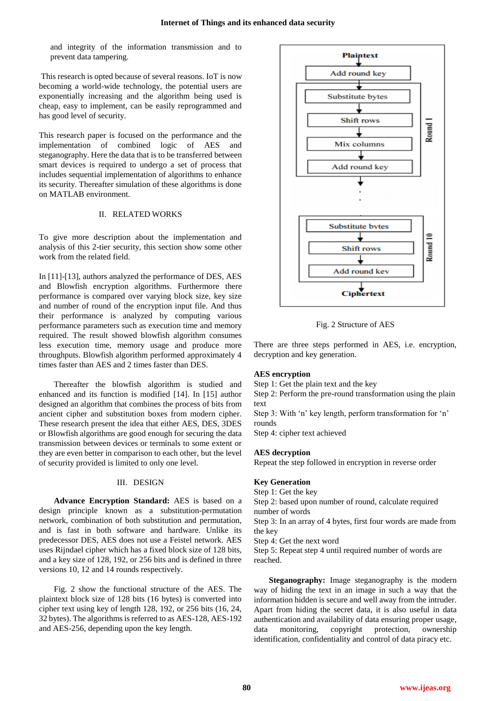and integrity of the information transmission and to prevent data tampering.

This research is opted because of several reasons. IoT is now becoming a world-wide technology, the potential users are exponentially increasing and the algorithm being used is cheap, easy to implement, can be easily reprogrammed and has good level of security.

This research paper is focused on the performance and the implementation of combined logic of AES and steganography. Here the data that is to be transferred between smart devices is required to undergo a set of process that includes sequential implementation of algorithms to enhance its security. Thereafter simulation of these algorithms is done on MATLAB environment.

# II. RELATED WORKS

To give more description about the implementation and analysis of this 2-tier security, this section show some other work from the related field.

In [11]-[13], authors analyzed the performance of DES, AES and Blowfish encryption algorithms. Furthermore there performance is compared over varying block size, key size and number of round of the encryption input file. And thus their performance is analyzed by computing various performance parameters such as execution time and memory required. The result showed blowfish algorithm consumes less execution time, memory usage and produce more throughputs. Blowfish algorithm performed approximately 4 times faster than AES and 2 times faster than DES.

Thereafter the blowfish algorithm is studied and enhanced and its function is modified [14]. In [15] author designed an algorithm that combines the process of bits from ancient cipher and substitution boxes from modern cipher. These research present the idea that either AES, DES, 3DES or Blowfish algorithms are good enough for securing the data transmission between devices or terminals to some extent or they are even better in comparison to each other, but the level of security provided is limited to only one level.

#### III. DESIGN

**Advance Encryption Standard:** AES is based on a design principle known as a substitution-permutation network, combination of both substitution and permutation, and is fast in both software and hardware. Unlike its predecessor DES, AES does not use a Feistel network. AES uses Rijndael cipher which has a fixed block size of 128 bits, and a key size of 128, 192, or 256 bits and is defined in three versions 10, 12 and 14 rounds respectively.

Fig. 2 show the functional structure of the AES. The plaintext block size of 128 bits (16 bytes) is converted into cipher text using key of length 128, 192, or 256 bits (16, 24, 32 bytes). The algorithms is referred to as AES-128, AES-192 and AES-256, depending upon the key length.



Fig. 2 Structure of AES

There are three steps performed in AES, i.e. encryption, decryption and key generation.

## **AES encryption**

Step 1: Get the plain text and the key

Step 2: Perform the pre-round transformation using the plain text

Step 3: With 'n' key length, perform transformation for 'n' rounds

Step 4: cipher text achieved

#### **AES decryption**

Repeat the step followed in encryption in reverse order

# **Key Generation**

Step 1: Get the key

Step 2: based upon number of round, calculate required number of words

Step 3: In an array of 4 bytes, first four words are made from the key

Step 4: Get the next word

Step 5: Repeat step 4 until required number of words are reached.

**Steganography:** Image steganography is the modern way of hiding the text in an image in such a way that the information hidden is secure and well away from the intruder. Apart from hiding the secret data, it is also useful in data authentication and availability of data ensuring proper usage, data monitoring, copyright protection, ownership identification, confidentiality and control of data piracy etc.